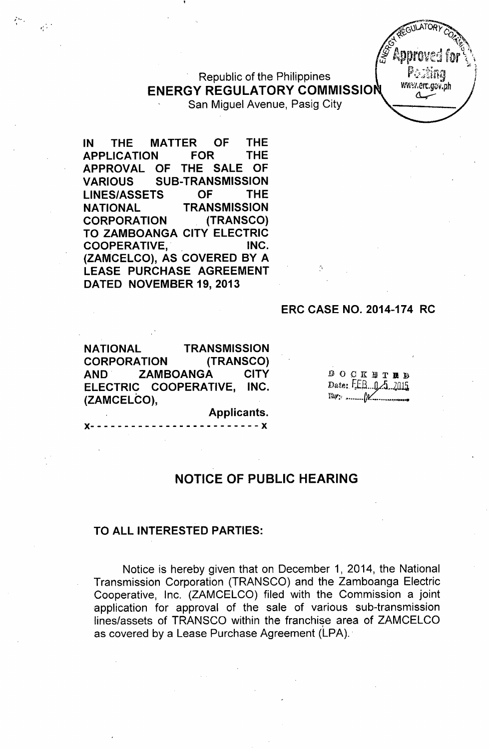Republic of the Philippines ENERGY REGULATORY COMMISSIO

San Miguel Avenue, Pasig City

IN THE MATTER OF THE APPLICATION FOR THE APPROVAL OF THE SALE OF VARIOUS SUB-TRANSMISSION LINES/ASSETS OF THE NATIONAL TRANSMISSION CORPORATION (TRANSCO) TO ZAMBOANGA CITY ELECTRIC COOPERATIVE, INC. (ZAMCELCO), AS COVERED BY A LEASE PURCHASE AGREEMENT DATED NOVEMBER 19, 2013

*I" •* ,

 $\eta^{(n)}$ 

## ERC CASE NO. 2014-174 RC

www.erc.gov.ph

.",

NATIONAL TRANSMISSION CORPORATION (TRANSCO) AND ZAMBOANGA CITY ELECTRIC COOPERATIVE, INC. (ZAMCELCO),

 $B$  O C K E T R B Date: F.E.B. 05.2015  $\mathbb{R}$   $\mathbb{R}$   $\mathbb{R}$   $\mathbb{R}$   $\mathbb{R}$   $\mathbb{R}$   $\mathbb{R}$   $\mathbb{R}$   $\mathbb{R}$   $\mathbb{R}$   $\mathbb{R}$   $\mathbb{R}$   $\mathbb{R}$   $\mathbb{R}$   $\mathbb{R}$   $\mathbb{R}$   $\mathbb{R}$   $\mathbb{R}$   $\mathbb{R}$   $\mathbb{R}$   $\mathbb{R}$   $\mathbb{R}$   $\mathbb{R}$   $\mathbb{R}$   $\mathbb{$ 

Applicants. x- - - - - - - - - - - - - - - - - - - - - - - - - x

## NOTICE OF PUBLIC HEARING

## TO ALL INTERESTED PARTIES:

Notice is hereby given that on December 1, 2014, the National Transmission Corporation (TRANSCO) and the Zamboanga Electric Cooperative, Inc. (ZAMCELCO) filed with the Commission a joint application for approval of the sale of various sub-transmission lines/assets of TRANSCO within the franchise area of ZAMCELCO as covered by a Lease Purchase Agreement (LPA).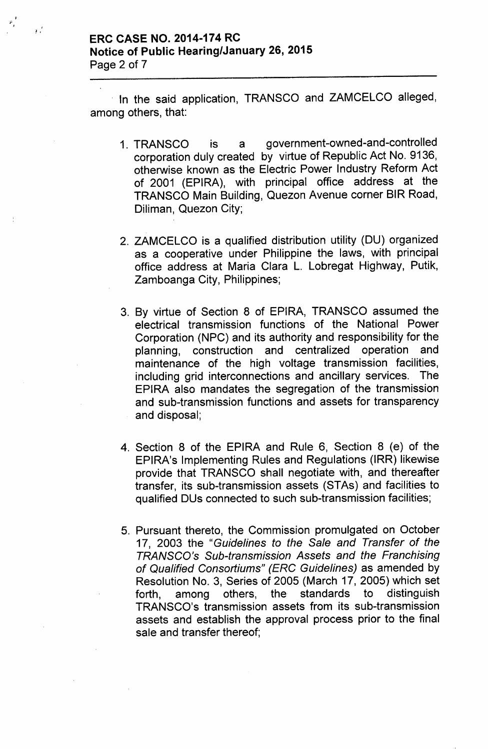*:r* . . ! •

In the said application, TRANSCO and ZAMCELCO alleged, among others, that:

- 1. TRANSCO is a government-owned-and-controlled corporation duly created by virtue of Republic Act No. 9136, otherwise known as the Electric Power Industry Reform Act of 2001 (EPIRA), with principal office address at the TRANSCO Main Building, Quezon Avenue corner BIR Road, Diliman, Quezon City;
- 2. ZAMCELCO is a qualified distribution utility (DU) organized as a cooperative under Philippine the laws, with principal office address at Maria Clara L. Lobregat Highway, Putik, Zamboanga City, Philippines;
- 3. By virtue of Section 8 of EPIRA, TRANSCO assumed the electrical transmission functions of the National Power Corporation (NPC) and its authority and responsibility for the planning, construction and centralized operation and maintenance of the high voltage transmission facilities, including grid interconnections and ancillary services. The EPIRA also mandates the segregation of the transmission and sub-transmission functions and assets for transparency and disposal;
- 4. Section 8 of the EPIRA and Rule 6, Section 8 (e) of the EPIRA's Implementing Rules and Regulations (IRR) likewise provide that TRANSCO shall negotiate with, and thereafter transfer, its sub-transmission assets (STAs) and facilities to qualified DUs connected to such sub-transmission facilities;
- 5. Pursuant thereto, the Commission promulgated on October 17, 2003 the *"Guidelines to the Sale and Transfer* of *the TRANSCOJs Sub-transmission Assets and the Franchising* of *Qualified Consortiums" (ERC Guidelines)* as amended by Resolution NO.3, Series of 2005 (March 17, 2005) which set forth, among others, the standards to distinguish TRANSCO's transmission assets from its sub-transmission assets and establish the approval process prior to the final sale and transfer thereof;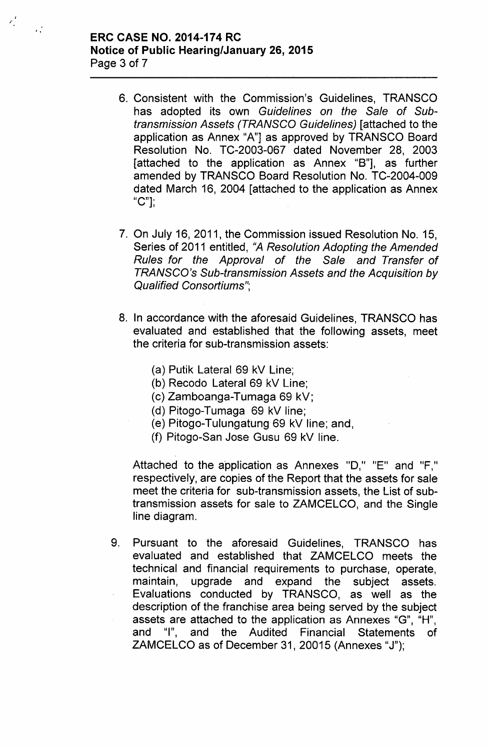## ERC CASE NO. 2014-174 RC Notice of Public Hearing/January 26, 2015 Page 3 of 7

 $\mathcal{F}^{\mathcal{F}}_{\mathcal{F}}$ 

..

- 6. Consistent with the Commission's Guidelines, TRANSCO has adopted its own *Guidelines on the Sale* of *Subtransmission Assets (TRANSCO Guidelines)* [attached to the application as Annex "A"] as approved by TRANSCO Board Resolution No. TC-2003-067 dated November 28, 2003 [attached to the application as Annex "B"], as further amended by TRANSCO Board Resolution No. TC-2004-009 dated March 16, 2004 [attached to the application as Annex "C"];
- 7. On July 16, 2011, the Commission issued Resolution No. 15, Series of 2011 entitled, *tlA Resolution Adopting the Amended Rules for the Approval* of *the Sale and Transfer* of *TRANSCO's Sub-transmission Assets and the Acquisition by Qualified Consortiums";*
- 8. In accordance with the aforesaid Guidelines, TRANSCO has evaluated and established that the following assets, meet the criteria for sub-transmission assets:
	- (a) Putik Lateral 69 kV Line;
	- (b) Recodo Lateral 69 kV Line;
	- (c) Zamboanga-Tumaga 69 kV;
	- (d) Pitogo-Tumaga 69 kV line;
	- (e) Pitogo-Tulungatung 69 kV line; and,
	- (f) Pitogo-San Jose Gusu 69 kV line.

Attached to the application as Annexes "D," "E" and "F," respectively, are copies of the Report that the assets for sale meet the criteria for sub-transmission assets, the List of subtransmission assets for sale to ZAMCELCO, and the Single line diagram.

9. Pursuant to the aforesaid Guidelines, TRANSCO has evaluated and established that ZAMCELCO meets the technical and financial requirements to purchase, operate, maintain, upgrade and expand the subject assets. Evaluations conducted by TRANSCO, as well as the description of the franchise area being served by the subject assets are attached to the application as Annexes "G", "H", and "I", and the Audited Financial Statements of ZAMCELCO as of December 31, 20015 (Annexes "J");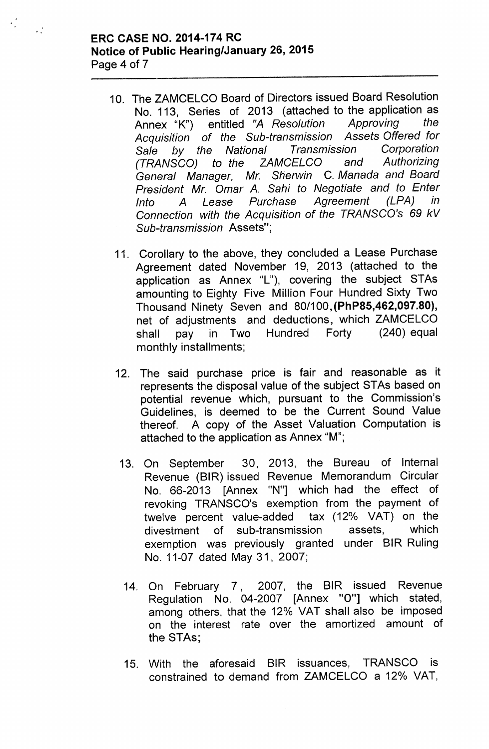..

- 10. The ZAMCELCO Board of Directors issued Soard Resolution No. 113, Series of 2013 (attached to the application as Annex "K") entitled"A *Resolution Approving the Acquisition of the Sub-transmission* Assets *Offered for Sale by the National Transmission Corporation (TRANSCO) to the ZAMCELCO and Authorizing General Manager, Mr. Sherwin* C. *Manada and Board President Mr. Omar A. Sahi to Negotiate and to Enter Into A Lease Purchase Agreement (LPA) in Connection with the Acquisition of the TRANSCO's* 69 *kV Sub-transmission* Assets";
	- 11. Corollary to the above, they concluded a Lease Purchase Agreement dated November 19, 2013 (attached to the application as Annex "L"), covering the subject STAs amounting to Eighty Five Million Four Hundred Sixty Two Thousand Ninety Seven and 80/100, **(PhP85,462,097.80),** net of adjustments and deductions, which ZAMCELCO shall pay in Two Hundred Forty (240) equal monthly installments;
	- 12. The said purchase price is fair and reasonable as it represents the disposal value of the subject STAs based on potential revenue which, pursuant to the Commission's Guidelines, is deemed to be the Current Sound Value thereof. A copy of the Asset Valuation Computation is attached to the application as Annex "M";
	- 13. On September 30, 2013, the Bureau of Internal Revenue (SIR) issued Revenue Memorandum Circular No. 66-2013 [Annex "N"] which had the effect of revoking TRANSCO's exemption from the payment of twelve percent value-added tax (12% VAT) on the divestment of sub-transmission assets, which exemption was previously granted under SIR Ruling No. 11-07 dated May 31, 2007;
	- 14. On February 7, 2007, the SIR issued Revenue Regulation No. 04-2007 [Annex "0"] which stated, among others, that the 12% VAT shall also be imposed on the interest rate over the amortized amount of the STAs;
	- 15. With the aforesaid SIR issuances, TRANSCO is constrained to demand from ZAMCELCO a 12% VAT,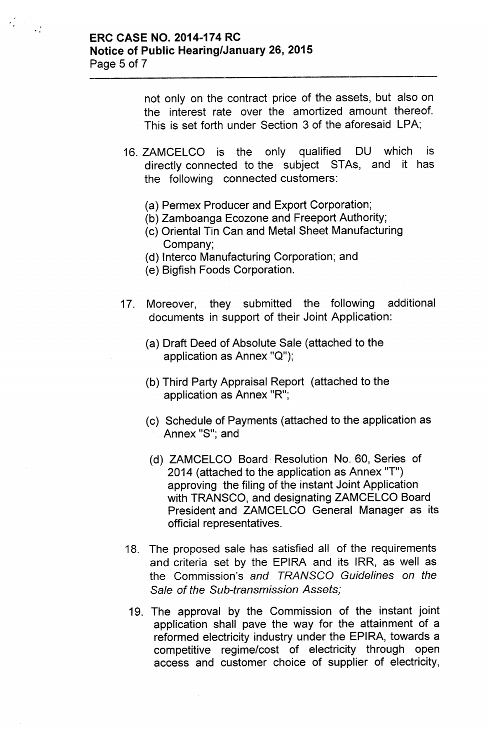..

not only on the contract price of the assets, but also on the interest rate over the amortized amount thereof. This is set forth under Section 3 of the aforesaid LPA;

- 16. ZAMCELCO is the only qualified DU which is directly connected to the subject STAs, and it has the following connected customers:
	- (a) Permex Producer and Export Corporation;
	- (b) Zamboanga Ecozone and Freeport Authority;
	- (c) Oriental Tin Can and Metal Sheet Manufacturing Company;
	- (d) Interco Manufacturing Corporation; and
	- (e) Bigfish Foods Corporation.
- 17. Moreover, they submitted the following additional documents in support of their Joint Application:
	- (a) Draft Deed of Absolute Sale (attached to the application as Annex "Q");
	- (b) Third Party Appraisal Report (attached to the application as Annex "R";
	- (c) Schedule of Payments (attached to the application as Annex "S"; and
	- (d) ZAMCELCO Board Resolution No. 60, Series of 2014 (attached to the application as Annex "T') approving the filing of the instant Joint Application with TRANSCO, and designating ZAMCELCO Board President and ZAMCELCO General Manager as its official representatives.
- 18. The proposed sale has satisfied all of the requirements and criteria set by the EPIRA and its IRR, as well as the Commission's *and TRANSCO Guidelines on the Sale* of *the Sub-transmission Assets;*
- 19. The approval by the Commission of the instant joint application shall pave the way for the attainment of a reformed electricity industry under the EPIRA, towards a competitive regime/cost of electricity through open access and customer choice of supplier of electricity,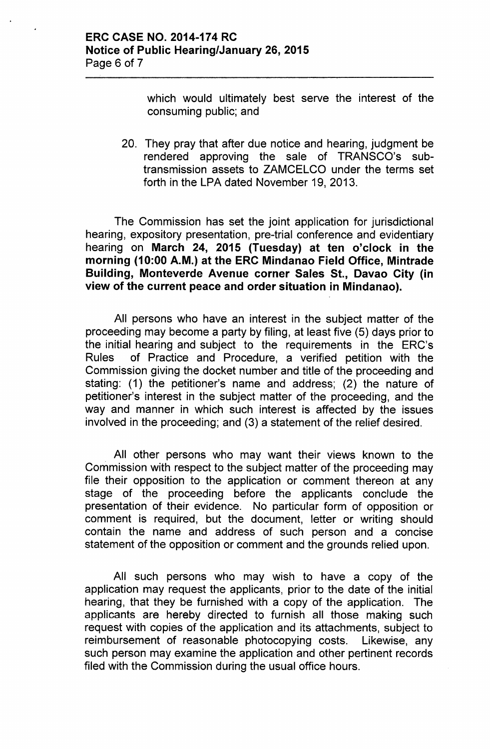which would ultimately best serve the interest of the consuming public; and

20. They pray that after due notice and hearing, judgment be rendered approving the sale of TRANSCO's subtransmission assets to ZAMCELCO under the terms set forth in the LPA dated November 19, 2013.

The Commission has set the joint application for jurisdictional hearing, expository presentation, pre-trial conference and evidentiary hearing on March 24, 2015 (Tuesday) at ten o'clock in the morning (10:00 A.M.) at the ERC Mindanao Field Office, Mintrade Building, Monteverde Avenue corner Sales St., Davao City (in view of the current peace and order situation in Mindanao).

All persons who have an interest in the subject matter of the proceeding may become a party by filing, at least five (5) days prior to the initial hearing and subject to the requirements in the ERC's Rules of Practice and Procedure, a verified petition with the Commission giving the docket number and title of the proceeding and stating: (1) the petitioner's name and address; (2) the nature of petitioner's interest in the subject matter of the proceeding, and the way and manner in which such interest is affected by the issues involved in the proceeding; and (3) a statement of the relief desired.

All other persons who may want their views known to the Commission with respect to the subject matter of the proceeding may file their opposition to the application or comment thereon at any stage of the proceeding before the applicants conclude the presentation of their evidence. No particular form of opposition or comment is required, but the document, letter or writing should contain the name and address of such person and a concise statement of the opposition or comment and the grounds relied upon.

All such persons who may wish to have a copy of the application may request the applicants, prior to the date of the initial hearing, that they be furnished with a copy of the application. The applicants are hereby directed to furnish all those making such request with copies of the application and its attachments, subject to reimbursement of reasonable photocopying costs. Likewise, any such person may examine the application and other pertinent records filed with the Commission during the usual office hours.